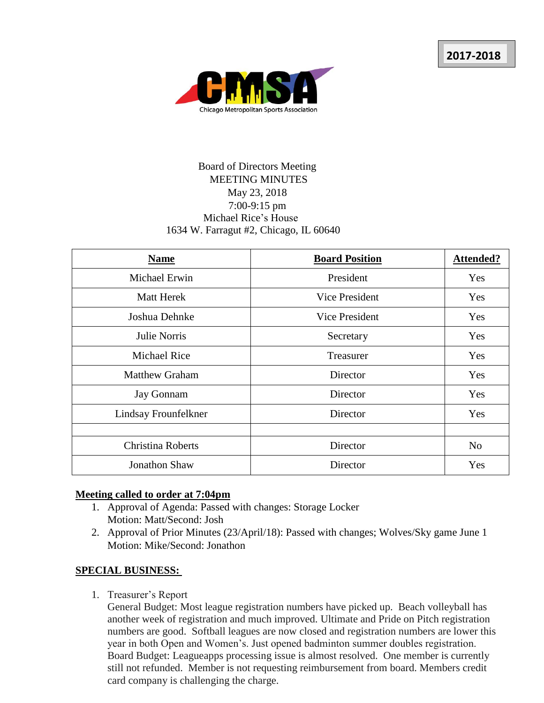

# Board of Directors Meeting MEETING MINUTES May 23, 2018 7:00-9:15 pm Michael Rice's House 1634 W. Farragut #2, Chicago, IL 60640

| <b>Name</b>              | <b>Board Position</b> | <b>Attended?</b> |
|--------------------------|-----------------------|------------------|
| Michael Erwin            | President             | Yes              |
| <b>Matt Herek</b>        | Vice President        | Yes              |
| Joshua Dehnke            | Vice President        | <b>Yes</b>       |
| Julie Norris             | Secretary             | Yes              |
| <b>Michael Rice</b>      | Treasurer             | <b>Yes</b>       |
| <b>Matthew Graham</b>    | Director              | Yes              |
| <b>Jay Gonnam</b>        | Director              | Yes              |
| Lindsay Frounfelkner     | Director              | Yes              |
|                          |                       |                  |
| <b>Christina Roberts</b> | Director              | N <sub>o</sub>   |
| <b>Jonathon Shaw</b>     | Director              | Yes              |

#### **Meeting called to order at 7:04pm**

- 1. Approval of Agenda: Passed with changes: Storage Locker Motion: Matt/Second: Josh
- 2. Approval of Prior Minutes (23/April/18): Passed with changes; Wolves/Sky game June 1 Motion: Mike/Second: Jonathon

### **SPECIAL BUSINESS:**

1. Treasurer's Report

General Budget: Most league registration numbers have picked up. Beach volleyball has another week of registration and much improved. Ultimate and Pride on Pitch registration numbers are good. Softball leagues are now closed and registration numbers are lower this year in both Open and Women's. Just opened badminton summer doubles registration. Board Budget: Leagueapps processing issue is almost resolved. One member is currently still not refunded. Member is not requesting reimbursement from board. Members credit card company is challenging the charge.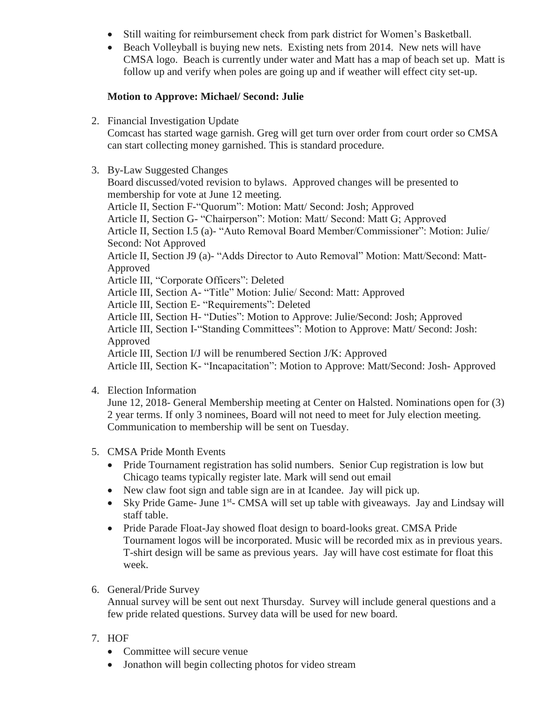- Still waiting for reimbursement check from park district for Women's Basketball.
- Beach Volleyball is buying new nets. Existing nets from 2014. New nets will have CMSA logo. Beach is currently under water and Matt has a map of beach set up. Matt is follow up and verify when poles are going up and if weather will effect city set-up.

## **Motion to Approve: Michael/ Second: Julie**

2. Financial Investigation Update

Comcast has started wage garnish. Greg will get turn over order from court order so CMSA can start collecting money garnished. This is standard procedure.

3. By-Law Suggested Changes

Board discussed/voted revision to bylaws. Approved changes will be presented to membership for vote at June 12 meeting.

Article II, Section F-"Quorum": Motion: Matt/ Second: Josh; Approved Article II, Section G- "Chairperson": Motion: Matt/ Second: Matt G; Approved Article II, Section I.5 (a)- "Auto Removal Board Member/Commissioner": Motion: Julie/ Second: Not Approved Article II, Section J9 (a)- "Adds Director to Auto Removal" Motion: Matt/Second: Matt-

Approved

Article III, "Corporate Officers": Deleted

Article III, Section A- "Title" Motion: Julie/ Second: Matt: Approved

Article III, Section E- "Requirements": Deleted

Article III, Section H- "Duties": Motion to Approve: Julie/Second: Josh; Approved

Article III, Section I-"Standing Committees": Motion to Approve: Matt/ Second: Josh: Approved

Article III, Section I/J will be renumbered Section J/K: Approved

Article III, Section K- "Incapacitation": Motion to Approve: Matt/Second: Josh- Approved

4. Election Information

June 12, 2018- General Membership meeting at Center on Halsted. Nominations open for (3) 2 year terms. If only 3 nominees, Board will not need to meet for July election meeting. Communication to membership will be sent on Tuesday.

- 5. CMSA Pride Month Events
	- Pride Tournament registration has solid numbers. Senior Cup registration is low but Chicago teams typically register late. Mark will send out email
	- New claw foot sign and table sign are in at Icandee. Jay will pick up.
	- Sky Pride Game- June 1<sup>st</sup>- CMSA will set up table with giveaways. Jay and Lindsay will staff table.
	- Pride Parade Float-Jay showed float design to board-looks great. CMSA Pride Tournament logos will be incorporated. Music will be recorded mix as in previous years. T-shirt design will be same as previous years. Jay will have cost estimate for float this week.
- 6. General/Pride Survey

Annual survey will be sent out next Thursday. Survey will include general questions and a few pride related questions. Survey data will be used for new board.

- 7. HOF
	- Committee will secure venue
	- Jonathon will begin collecting photos for video stream